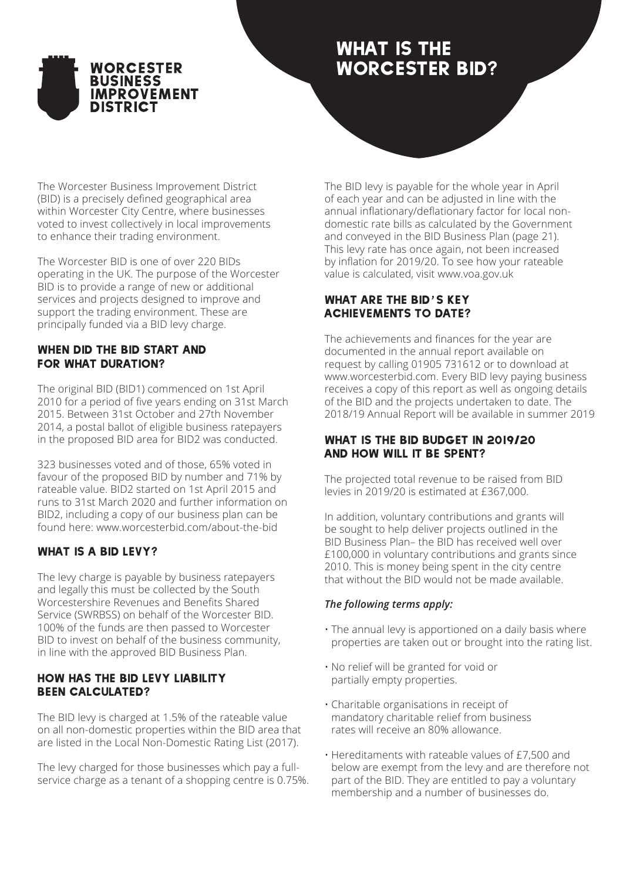

# WHAT IS THE Worcester BID?

The Worcester Business Improvement District (BID) is a precisely defined geographical area within Worcester City Centre, where businesses voted to invest collectively in local improvements to enhance their trading environment.

The Worcester BID is one of over 220 BIDs operating in the UK. The purpose of the Worcester BID is to provide a range of new or additional services and projects designed to improve and support the trading environment. These are principally funded via a BID levy charge.

# When did the BID start and FOR WHAT DURATION?

The original BID (BID1) commenced on 1st April 2010 for a period of five years ending on 31st March 2015. Between 31st October and 27th November 2014, a postal ballot of eligible business ratepayers in the proposed BID area for BID2 was conducted.

323 businesses voted and of those, 65% voted in favour of the proposed BID by number and 71% by rateable value. BID2 started on 1st April 2015 and runs to 31st March 2020 and further information on BID2, including a copy of our business plan can be found here: www.worcesterbid.com/about-the-bid

# WHAT IS A BID LEVY?

The levy charge is payable by business ratepayers and legally this must be collected by the South Worcestershire Revenues and Benefits Shared Service (SWRBSS) on behalf of the Worcester BID. 100% of the funds are then passed to Worcester BID to invest on behalf of the business community, in line with the approved BID Business Plan.

## How has the BID levy liability been calculated?

The BID levy is charged at 1.5% of the rateable value on all non-domestic properties within the BID area that are listed in the Local Non-Domestic Rating List (2017).

The levy charged for those businesses which pay a fullservice charge as a tenant of a shopping centre is 0.75%. The BID levy is payable for the whole year in April of each year and can be adjusted in line with the annual inflationary/deflationary factor for local nondomestic rate bills as calculated by the Government and conveyed in the BID Business Plan (page 21). This levy rate has once again, not been increased by inflation for 2019/20. To see how your rateable value is calculated, visit www.voa.gov.uk

# WHAT ARE THE BID'S KEY achievements to date?

The achievements and finances for the year are documented in the annual report available on request by calling 01905 731612 or to download at www.worcesterbid.com. Every BID levy paying business receives a copy of this report as well as ongoing details of the BID and the projects undertaken to date. The 2018/19 Annual Report will be available in summer 2019

## What is the BID budget in 2019/20 and how will it be spent?

The projected total revenue to be raised from BID levies in 2019/20 is estimated at £367,000.

In addition, voluntary contributions and grants will be sought to help deliver projects outlined in the BID Business Plan– the BID has received well over £100,000 in voluntary contributions and grants since 2010. This is money being spent in the city centre that without the BID would not be made available.

# *The following terms apply:*

- The annual levy is apportioned on a daily basis where properties are taken out or brought into the rating list.
- No relief will be granted for void or partially empty properties.
- Charitable organisations in receipt of mandatory charitable relief from business rates will receive an 80% allowance.
- Hereditaments with rateable values of £7,500 and below are exempt from the levy and are therefore not part of the BID. They are entitled to pay a voluntary membership and a number of businesses do.